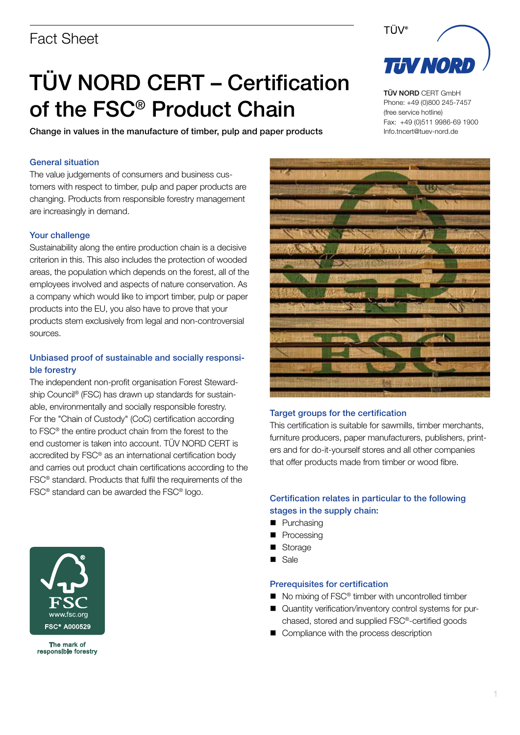# Fact Sheet

# TÜV NORD CERT – Certification of the FSC® Product Chain

Change in values in the manufacture of timber, pulp and paper products

#### General situation

The value judgements of consumers and business customers with respect to timber, pulp and paper products are changing. Products from responsible forestry management are increasingly in demand.

#### Your challenge

Sustainability along the entire production chain is a decisive criterion in this. This also includes the protection of wooded areas, the population which depends on the forest, all of the employees involved and aspects of nature conservation. As a company which would like to import timber, pulp or paper products into the EU, you also have to prove that your products stem exclusively from legal and non-controversial sources.

## Unbiased proof of sustainable and socially responsible forestry

The independent non-profit organisation Forest Stewardship Council<sup>®</sup> (FSC) has drawn up standards for sustainable, environmentally and socially responsible forestry. For the "Chain of Custody" (CoC) certification according to FSC® the entire product chain from the forest to the end customer is taken into account. TÜV NORD CERT is accredited by FSC® as an international certification body and carries out product chain certifications according to the FSC® standard. Products that fulfil the requirements of the FSC® standard can be awarded the FSC® logo.



TÜV NORD CERT GmbH Phone: +49 (0)800 245-7457 (free service hotline) Fax: +49 (0)511 9986-69 1900 Info.tncert@tuev-nord.de



#### Target groups for the certification

This certification is suitable for sawmills, timber merchants, furniture producers, paper manufacturers, publishers, printers and for do-it-yourself stores and all other companies that offer products made from timber or wood fibre.

### Certification relates in particular to the following stages in the supply chain:

- **n** Purchasing
- **n** Processing
- Storage
- n Sale

#### Prerequisites for certification

- $\blacksquare$  No mixing of FSC<sup>®</sup> timber with uncontrolled timber
- Quantity verification/inventory control systems for purchased, stored and supplied FSC®-certified goods
- Compliance with the process description



The mark of responsible forestry